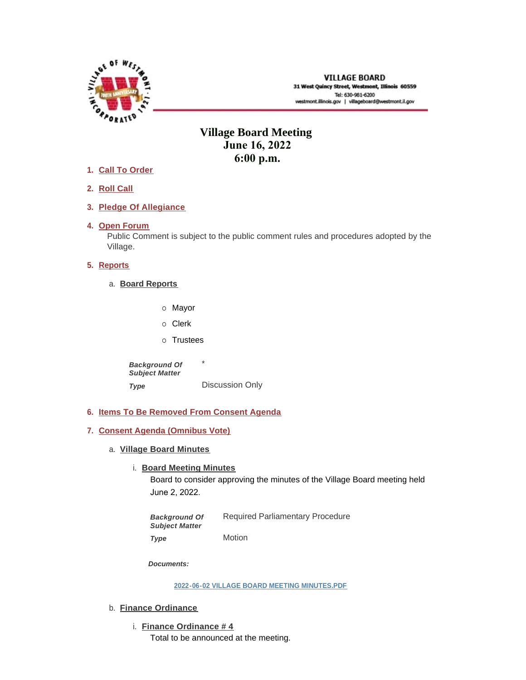

## **Village Board Meeting June 16, 2022 6:00 p.m.**

- **Call To Order 1.**
- **Roll Call 2.**
- **Pledge Of Allegiance 3.**
- 4. Open Forum

Public Comment is subject to the public comment rules and procedures adopted by the Village.

## **5.** Reports

- **Board Reports** a.
	- o Mayor
	- o Clerk
	- o Trustees

\* Discussion Only *Background Of Subject Matter Type* 

- **Items To Be Removed From Consent Agenda 6.**
- **Consent Agenda (Omnibus Vote) 7.**
	- **Village Board Minutes** a.
		- **Board Meeting Minutes**

Board to consider approving the minutes of the Village Board meeting held June 2, 2022.

Required Parliamentary Procedure *Background Of Subject Matter* 

Motion *Type* 

*Documents:*

**[2022-06-02 VILLAGE BOARD MEETING MINUTES.PDF](https://westmont.illinois.gov/AgendaCenter/ViewFile/Item/8750?fileID=13210)**

- b. **Finance Ordinance** 
	- **Finance Ordinance # 4** i.

Total to be announced at the meeting.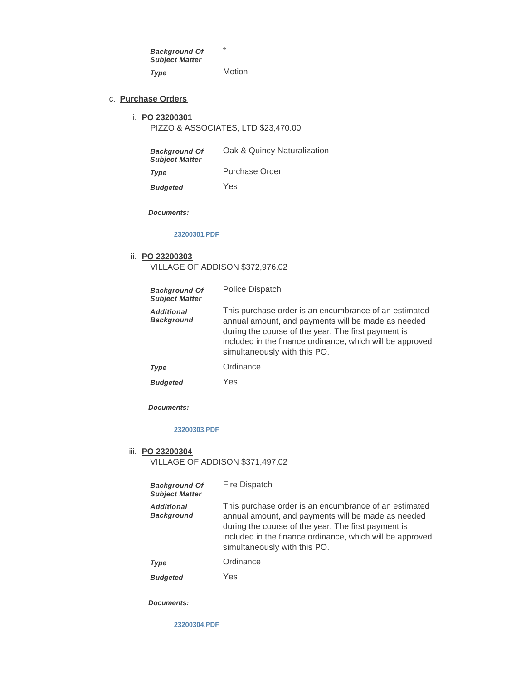\* Motion *Background Of Subject Matter Type* 

#### **Purchase Orders** c.

#### **PO 23200301** i.

PIZZO & ASSOCIATES, LTD \$23,470.00

| <b>Background Of</b><br><b>Subject Matter</b> | Oak & Quincy Naturalization |
|-----------------------------------------------|-----------------------------|
| <b>Type</b>                                   | Purchase Order              |
| <b>Budgeted</b>                               | Yes                         |

*Documents:*

## **[23200301.PDF](https://westmont.illinois.gov/AgendaCenter/ViewFile/Item/8756?fileID=13208)**

#### **PO 23200303** ii.

VILLAGE OF ADDISON \$372,976.02

| <b>Background Of</b><br><b>Subject Matter</b> | Police Dispatch                                                                                                                                                                                                                                                 |
|-----------------------------------------------|-----------------------------------------------------------------------------------------------------------------------------------------------------------------------------------------------------------------------------------------------------------------|
| <b>Additional</b><br><b>Background</b>        | This purchase order is an encumbrance of an estimated<br>annual amount, and payments will be made as needed<br>during the course of the year. The first payment is<br>included in the finance ordinance, which will be approved<br>simultaneously with this PO. |
| <b>Type</b>                                   | Ordinance                                                                                                                                                                                                                                                       |
| <b>Budgeted</b>                               | Yes                                                                                                                                                                                                                                                             |

*Documents:*

## **[23200303.PDF](https://westmont.illinois.gov/AgendaCenter/ViewFile/Item/8757?fileID=13207)**

#### **PO 23200304** iii.

VILLAGE OF ADDISON \$371,497.02

| <b>Background Of</b><br><b>Subject Matter</b> | Fire Dispatch                                                                                                                                                                                                                                                   |
|-----------------------------------------------|-----------------------------------------------------------------------------------------------------------------------------------------------------------------------------------------------------------------------------------------------------------------|
| <b>Additional</b><br><b>Background</b>        | This purchase order is an encumbrance of an estimated<br>annual amount, and payments will be made as needed<br>during the course of the year. The first payment is<br>included in the finance ordinance, which will be approved<br>simultaneously with this PO. |
| <b>Type</b>                                   | Ordinance                                                                                                                                                                                                                                                       |
| <b>Budgeted</b>                               | Yes                                                                                                                                                                                                                                                             |

*Documents:*

**[23200304.PDF](https://westmont.illinois.gov/AgendaCenter/ViewFile/Item/8758?fileID=13209)**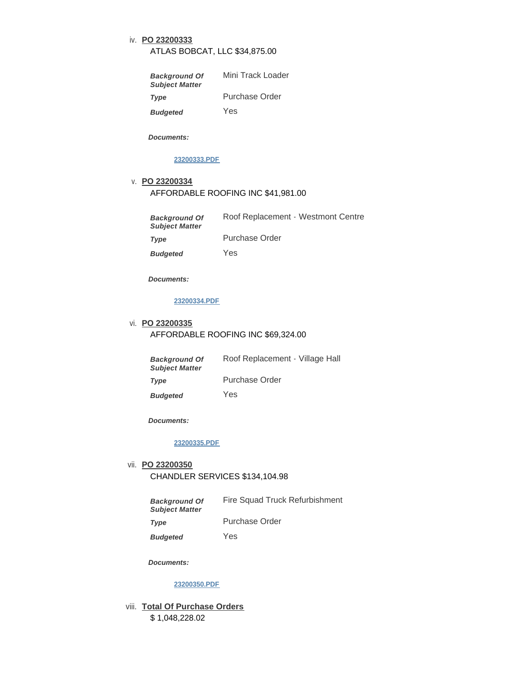### **PO 23200333** iv.

#### ATLAS BOBCAT, LLC \$34,875.00

| <b>Background Of</b><br><b>Subject Matter</b> | Mini Track Loader |
|-----------------------------------------------|-------------------|
| <b>Type</b>                                   | Purchase Order    |
| <b>Budgeted</b>                               | Yes               |

*Documents:*

#### **[23200333.PDF](https://westmont.illinois.gov/AgendaCenter/ViewFile/Item/8759?fileID=13211)**

## **PO 23200334** v. AFFORDABLE ROOFING INC \$41,981.00

| <b>Background Of</b><br><b>Subject Matter</b> | Roof Replacement - Westmont Centre |
|-----------------------------------------------|------------------------------------|
| Type                                          | Purchase Order                     |

Yes *Budgeted* 

*Documents:*

#### **[23200334.PDF](https://westmont.illinois.gov/AgendaCenter/ViewFile/Item/8760?fileID=13212)**

## **PO 23200335** vi. AFFORDABLE ROOFING INC \$69,324.00

| <b>Background Of</b><br><b>Subject Matter</b> | Roof Replacement - Village Hall |
|-----------------------------------------------|---------------------------------|
| Type                                          | Purchase Order                  |
| <b>Budgeted</b>                               | Yes                             |

*Documents:*

#### **[23200335.PDF](https://westmont.illinois.gov/AgendaCenter/ViewFile/Item/8761?fileID=13213)**

# **PO 23200350** vii.

CHANDLER SERVICES \$134,104.98

| <b>Background Of</b>  | Fire Squad Truck Refurbishment |
|-----------------------|--------------------------------|
| <b>Subject Matter</b> |                                |

Purchase Order

Yes *Budgeted* 

*Documents:*

*Type* 

#### **[23200350.PDF](https://westmont.illinois.gov/AgendaCenter/ViewFile/Item/8762?fileID=13215)**

viii. Total Of Purchase Orders \$ 1,048,228.02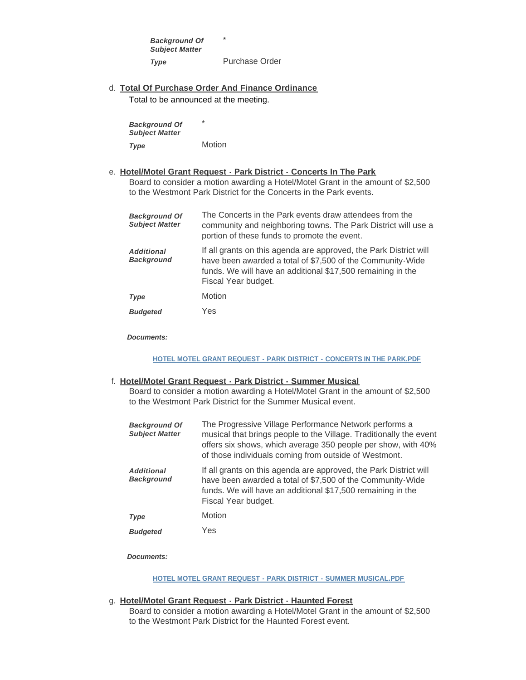\* Purchase Order *Background Of Subject Matter Type* 

**Total Of Purchase Order And Finance Ordinance** d. Total to be announced at the meeting.

\* Motion *Background Of Subject Matter Type* 

#### **Hotel/Motel Grant Request - Park District - Concerts In The Park** e.

Board to consider a motion awarding a Hotel/Motel Grant in the amount of \$2,500 to the Westmont Park District for the Concerts in the Park events.

| <b>Background Of</b><br><b>Subject Matter</b> | The Concerts in the Park events draw attendees from the<br>community and neighboring towns. The Park District will use a<br>portion of these funds to promote the event.                                              |
|-----------------------------------------------|-----------------------------------------------------------------------------------------------------------------------------------------------------------------------------------------------------------------------|
| <b>Additional</b><br><b>Background</b>        | If all grants on this agenda are approved, the Park District will<br>have been awarded a total of \$7,500 of the Community-Wide<br>funds. We will have an additional \$17,500 remaining in the<br>Fiscal Year budget. |
| <b>Type</b>                                   | Motion                                                                                                                                                                                                                |
| <b>Budgeted</b>                               | Yes                                                                                                                                                                                                                   |

*Documents:*

## **[HOTEL MOTEL GRANT REQUEST - PARK DISTRICT - CONCERTS IN THE PARK.PDF](https://westmont.illinois.gov/AgendaCenter/ViewFile/Item/8724?fileID=13180)**

#### **Hotel/Motel Grant Request - Park District - Summer Musical** f.

Board to consider a motion awarding a Hotel/Motel Grant in the amount of \$2,500 to the Westmont Park District for the Summer Musical event.

| <b>Background Of</b><br><b>Subject Matter</b> | The Progressive Village Performance Network performs a<br>musical that brings people to the Village. Traditionally the event<br>offers six shows, which average 350 people per show, with 40%<br>of those individuals coming from outside of Westmont. |
|-----------------------------------------------|--------------------------------------------------------------------------------------------------------------------------------------------------------------------------------------------------------------------------------------------------------|
| <b>Additional</b><br><b>Background</b>        | If all grants on this agenda are approved, the Park District will<br>have been awarded a total of \$7,500 of the Community-Wide<br>funds. We will have an additional \$17,500 remaining in the<br>Fiscal Year budget.                                  |
| Type                                          | Motion                                                                                                                                                                                                                                                 |
| <b>Budgeted</b>                               | Yes                                                                                                                                                                                                                                                    |

*Documents:*

#### **[HOTEL MOTEL GRANT REQUEST - PARK DISTRICT - SUMMER MUSICAL.PDF](https://westmont.illinois.gov/AgendaCenter/ViewFile/Item/8726?fileID=13182)**

#### **Hotel/Motel Grant Request - Park District - Haunted Forest** g.

Board to consider a motion awarding a Hotel/Motel Grant in the amount of \$2,500 to the Westmont Park District for the Haunted Forest event.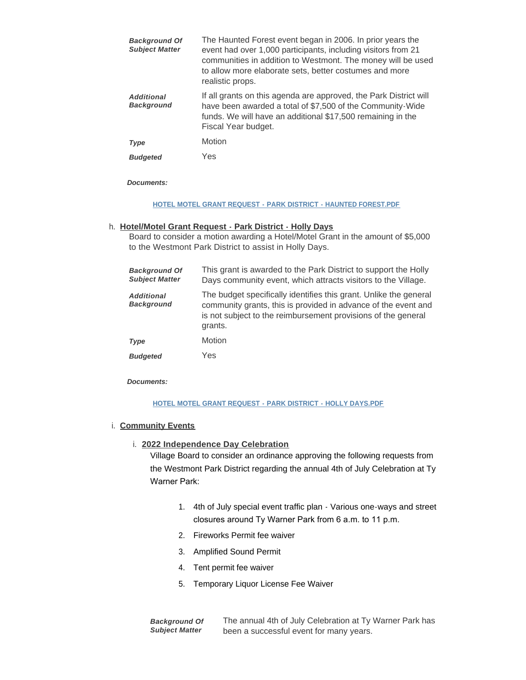| <b>Background Of</b><br><b>Subject Matter</b> | The Haunted Forest event began in 2006. In prior years the<br>event had over 1,000 participants, including visitors from 21<br>communities in addition to Westmont. The money will be used<br>to allow more elaborate sets, better costumes and more<br>realistic props. |
|-----------------------------------------------|--------------------------------------------------------------------------------------------------------------------------------------------------------------------------------------------------------------------------------------------------------------------------|
| <b>Additional</b><br><b>Background</b>        | If all grants on this agenda are approved, the Park District will<br>have been awarded a total of \$7,500 of the Community-Wide<br>funds. We will have an additional \$17,500 remaining in the<br>Fiscal Year budget.                                                    |
| <b>Type</b>                                   | Motion                                                                                                                                                                                                                                                                   |
| <b>Budgeted</b>                               | Yes                                                                                                                                                                                                                                                                      |

*Documents:*

#### **[HOTEL MOTEL GRANT REQUEST - PARK DISTRICT - HAUNTED FOREST.PDF](https://westmont.illinois.gov/AgendaCenter/ViewFile/Item/8725?fileID=13181)**

#### **Hotel/Motel Grant Request - Park District - Holly Days** h.

Board to consider a motion awarding a Hotel/Motel Grant in the amount of \$5,000 to the Westmont Park District to assist in Holly Days.

| <b>Background Of</b><br><b>Subject Matter</b> | This grant is awarded to the Park District to support the Holly<br>Days community event, which attracts visitors to the Village.                                                                                |
|-----------------------------------------------|-----------------------------------------------------------------------------------------------------------------------------------------------------------------------------------------------------------------|
| <b>Additional</b><br><b>Background</b>        | The budget specifically identifies this grant. Unlike the general<br>community grants, this is provided in advance of the event and<br>is not subject to the reimbursement provisions of the general<br>grants. |
| <b>Type</b>                                   | Motion                                                                                                                                                                                                          |
| <b>Budgeted</b>                               | Yes                                                                                                                                                                                                             |

*Documents:*

#### **[HOTEL MOTEL GRANT REQUEST - PARK DISTRICT - HOLLY DAYS.PDF](https://westmont.illinois.gov/AgendaCenter/ViewFile/Item/8727?fileID=13183)**

#### **Community Events** i.

**2022 Independence Day Celebration** i.

Village Board to consider an ordinance approving the following requests from the Westmont Park District regarding the annual 4th of July Celebration at Ty Warner Park:

- 1. 4th of July special event traffic plan Various one-ways and street closures around Ty Warner Park from 6 a.m. to 11 p.m.
- 2. Fireworks Permit fee waiver
- 3. Amplified Sound Permit
- 4. Tent permit fee waiver
- 5. Temporary Liquor License Fee Waiver

The annual 4th of July Celebration at Ty Warner Park has been a successful event for many years. *Background Of Subject Matter*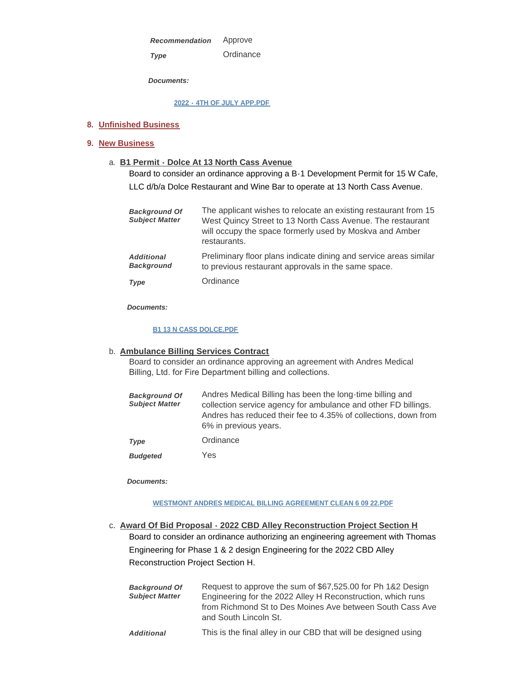Approve *Recommendation* 

*Type* 

*Documents:*

**[2022 - 4TH OF JULY APP.PDF](https://westmont.illinois.gov/AgendaCenter/ViewFile/Item/8754?fileID=13206)**

**Ordinance** 

## **Unfinished Business 8.**

## **New Business 9.**

**B1 Permit - Dolce At 13 North Cass Avenue** a.

Board to consider an ordinance approving a B-1 Development Permit for 15 W Cafe, LLC d/b/a Dolce Restaurant and Wine Bar to operate at 13 North Cass Avenue.

| <b>Background Of</b><br><b>Subject Matter</b> | The applicant wishes to relocate an existing restaurant from 15<br>West Quincy Street to 13 North Cass Avenue. The restaurant<br>will occupy the space formerly used by Moskva and Amber<br>restaurants. |
|-----------------------------------------------|----------------------------------------------------------------------------------------------------------------------------------------------------------------------------------------------------------|
| <b>Additional</b><br><b>Background</b>        | Preliminary floor plans indicate dining and service areas similar<br>to previous restaurant approvals in the same space.                                                                                 |
| Type                                          | Ordinance                                                                                                                                                                                                |

*Documents:*

#### **[B1 13 N CASS DOLCE.PDF](https://westmont.illinois.gov/AgendaCenter/ViewFile/Item/8729?fileID=13184)**

## **Ambulance Billing Services Contract** b.

Board to consider an ordinance approving an agreement with Andres Medical Billing, Ltd. for Fire Department billing and collections.

| <b>Background Of</b><br><b>Subject Matter</b> | Andres Medical Billing has been the long-time billing and<br>collection service agency for ambulance and other FD billings.<br>Andres has reduced their fee to 4.35% of collections, down from<br>6% in previous years. |
|-----------------------------------------------|-------------------------------------------------------------------------------------------------------------------------------------------------------------------------------------------------------------------------|
| <b>Type</b>                                   | Ordinance                                                                                                                                                                                                               |

Yes *Budgeted* 

*Documents:*

#### **[WESTMONT ANDRES MEDICAL BILLING AGREEMENT CLEAN 6 09 22.PDF](https://westmont.illinois.gov/AgendaCenter/ViewFile/Item/8728?fileID=13214)**

**Award Of Bid Proposal - 2022 CBD Alley Reconstruction Project Section H** c. Board to consider an ordinance authorizing an engineering agreement with Thomas Engineering for Phase 1 & 2 design Engineering for the 2022 CBD Alley Reconstruction Project Section H.

| <b>Background Of</b><br><b>Subject Matter</b> | Request to approve the sum of \$67,525.00 for Ph 1&2 Design<br>Engineering for the 2022 Alley H Reconstruction, which runs<br>from Richmond St to Des Moines Ave between South Cass Ave<br>and South Lincoln St. |
|-----------------------------------------------|------------------------------------------------------------------------------------------------------------------------------------------------------------------------------------------------------------------|
| <b>Additional</b>                             | This is the final alley in our CBD that will be designed using                                                                                                                                                   |